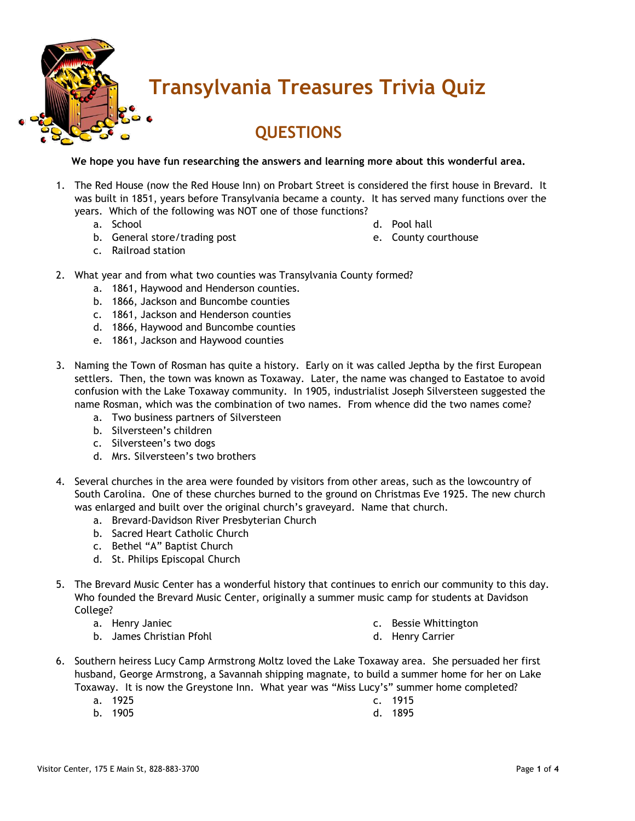

## **Transylvania Treasures Trivia Quiz**

## **QUESTIONS**

**We hope you have fun researching the answers and learning more about this wonderful area.**

- 1. The Red House (now the Red House Inn) on Probart Street is considered the first house in Brevard. It was built in 1851, years before Transylvania became a county. It has served many functions over the years. Which of the following was NOT one of those functions?
	- a. School
	- b. General store/trading post
- d. Pool hall
- e. County courthouse

- c. Railroad station
- 2. What year and from what two counties was Transylvania County formed?
	- a. 1861, Haywood and Henderson counties.
	- b. 1866, Jackson and Buncombe counties
	- c. 1861, Jackson and Henderson counties
	- d. 1866, Haywood and Buncombe counties
	- e. 1861, Jackson and Haywood counties
- 3. Naming the Town of Rosman has quite a history. Early on it was called Jeptha by the first European settlers. Then, the town was known as Toxaway. Later, the name was changed to Eastatoe to avoid confusion with the Lake Toxaway community. In 1905, industrialist Joseph Silversteen suggested the name Rosman, which was the combination of two names. From whence did the two names come?
	- a. Two business partners of Silversteen
	- b. Silversteen's children
	- c. Silversteen's two dogs
	- d. Mrs. Silversteen's two brothers
- 4. Several churches in the area were founded by visitors from other areas, such as the lowcountry of South Carolina. One of these churches burned to the ground on Christmas Eve 1925. The new church was enlarged and built over the original church's graveyard. Name that church.
	- a. Brevard-Davidson River Presbyterian Church
	- b. Sacred Heart Catholic Church
	- c. Bethel "A" Baptist Church
	- d. St. Philips Episcopal Church
- 5. The Brevard Music Center has a wonderful history that continues to enrich our community to this day. Who founded the Brevard Music Center, originally a summer music camp for students at Davidson College?
	- a. Henry Janiec
	- b. James Christian Pfohl
- c. Bessie Whittington
- d. Henry Carrier
- 6. Southern heiress Lucy Camp Armstrong Moltz loved the Lake Toxaway area. She persuaded her first husband, George Armstrong, a Savannah shipping magnate, to build a summer home for her on Lake Toxaway. It is now the Greystone Inn. What year was "Miss Lucy's" summer home completed?
	- a. 1925
- c. 1915
- b. 1905 d. 1895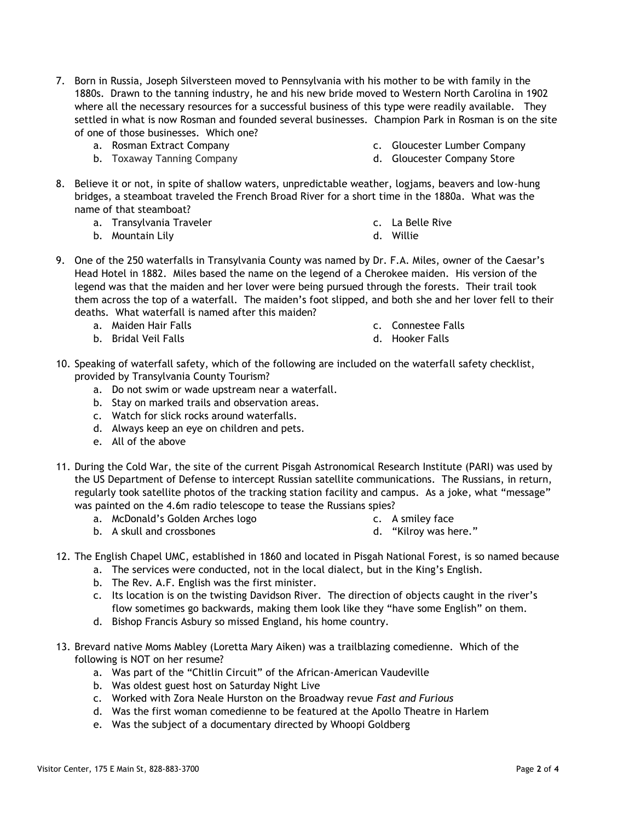- 7. Born in Russia, Joseph Silversteen moved to Pennsylvania with his mother to be with family in the 1880s. Drawn to the tanning industry, he and his new bride moved to Western North Carolina in 1902 where all the necessary resources for a successful business of this type were readily available. They settled in what is now Rosman and founded several businesses. Champion Park in Rosman is on the site of one of those businesses. Which one?
	- a. Rosman Extract Company
	- b. Toxaway Tanning Company
- c. Gloucester Lumber Company
- d. Gloucester Company Store
- 8. Believe it or not, in spite of shallow waters, unpredictable weather, logjams, beavers and low-hung bridges, a steamboat traveled the French Broad River for a short time in the 1880a. What was the name of that steamboat?
	- a. Transylvania Traveler
	- b. Mountain Lily
- c. La Belle Rive
- d. Willie
- 9. One of the 250 waterfalls in Transylvania County was named by Dr. F.A. Miles, owner of the Caesar's Head Hotel in 1882. Miles based the name on the legend of a Cherokee maiden. His version of the legend was that the maiden and her lover were being pursued through the forests. Their trail took them across the top of a waterfall. The maiden's foot slipped, and both she and her lover fell to their deaths. What waterfall is named after this maiden?
	- a. Maiden Hair Falls

c. Connestee Falls

b. Bridal Veil Falls

- d. Hooker Falls
- 10. Speaking of waterfall safety, which of the following are included on the waterfall safety checklist, provided by Transylvania County Tourism?
	- a. Do not swim or wade upstream near a waterfall.
	- b. Stay on marked trails and observation areas.
	- c. Watch for slick rocks around waterfalls.
	- d. Always keep an eye on children and pets.
	- e. All of the above
- 11. During the Cold War, the site of the current Pisgah Astronomical Research Institute (PARI) was used by the US Department of Defense to intercept Russian satellite communications. The Russians, in return, regularly took satellite photos of the tracking station facility and campus. As a joke, what "message" was painted on the 4.6m radio telescope to tease the Russians spies?
	- a. McDonald's Golden Arches logo

c. A smiley face

b. A skull and crossbones

d. "Kilroy was here."

- 
- - 12. The English Chapel UMC, established in 1860 and located in Pisgah National Forest, is so named because a. The services were conducted, not in the local dialect, but in the King's English.
		- b. The Rev. A.F. English was the first minister.
		- c. Its location is on the twisting Davidson River. The direction of objects caught in the river's flow sometimes go backwards, making them look like they "have some English" on them.
		- d. Bishop Francis Asbury so missed England, his home country.
	- 13. Brevard native Moms Mabley (Loretta Mary Aiken) was a trailblazing comedienne. Which of the following is NOT on her resume?
		- a. Was part of the "Chitlin Circuit" of the African-American Vaudeville
		- b. Was oldest guest host on Saturday Night Live
		- c. Worked with Zora Neale Hurston on the Broadway revue *Fast and Furious*
		- d. Was the first woman comedienne to be featured at the Apollo Theatre in Harlem
		- e. Was the subject of a documentary directed by Whoopi Goldberg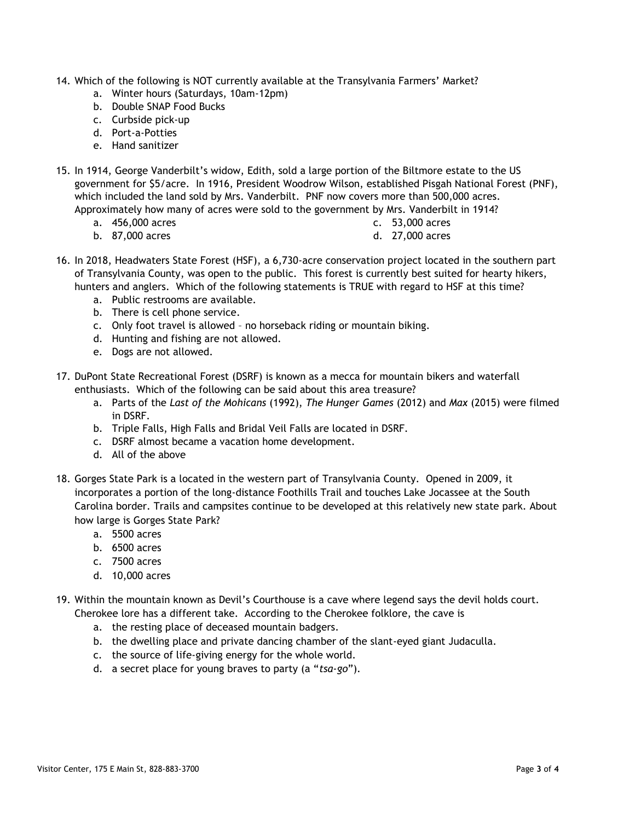- 14. Which of the following is NOT currently available at the Transylvania Farmers' Market?
	- a. Winter hours (Saturdays, 10am-12pm)
	- b. Double SNAP Food Bucks
	- c. Curbside pick-up
	- d. Port-a-Potties
	- e. Hand sanitizer
- 15. In 1914, George Vanderbilt's widow, Edith, sold a large portion of the Biltmore estate to the US government for \$5/acre. In 1916, President Woodrow Wilson, established Pisgah National Forest (PNF), which included the land sold by Mrs. Vanderbilt. PNF now covers more than 500,000 acres. Approximately how many of acres were sold to the government by Mrs. Vanderbilt in 1914?
	- a. 456,000 acres

c. 53,000 acres

b. 87,000 acres

- d. 27,000 acres
- 16. In 2018, Headwaters State Forest (HSF), a 6,730-acre conservation project located in the southern part of Transylvania County, was open to the public. This forest is currently best suited for hearty hikers, hunters and anglers. Which of the following statements is TRUE with regard to HSF at this time?
	- a. Public restrooms are available.
	- b. There is cell phone service.
	- c. Only foot travel is allowed no horseback riding or mountain biking.
	- d. Hunting and fishing are not allowed.
	- e. Dogs are not allowed.
- 17. DuPont State Recreational Forest (DSRF) is known as a mecca for mountain bikers and waterfall enthusiasts. Which of the following can be said about this area treasure?
	- a. Parts of the *Last of the Mohicans* (1992), *The Hunger Games* (2012) and *Max* (2015) were filmed in DSRF.
	- b. Triple Falls, High Falls and Bridal Veil Falls are located in DSRF.
	- c. DSRF almost became a vacation home development.
	- d. All of the above
- 18. Gorges State Park is a located in the western part of Transylvania County. Opened in 2009, it incorporates a portion of the long-distance Foothills Trail and touches Lake Jocassee at the South Carolina border. Trails and campsites continue to be developed at this relatively new state park. About how large is Gorges State Park?
	- a. 5500 acres
	- b. 6500 acres
	- c. 7500 acres
	- d. 10,000 acres
- 19. Within the mountain known as Devil's Courthouse is a cave where legend says the devil holds court. Cherokee lore has a different take. According to the Cherokee folklore, the cave is
	- a. the resting place of deceased mountain badgers.
	- b. the dwelling place and private dancing chamber of the slant-eyed giant Judaculla.
	- c. the source of life-giving energy for the whole world.
	- d. a secret place for young braves to party (a "*tsa-go*").